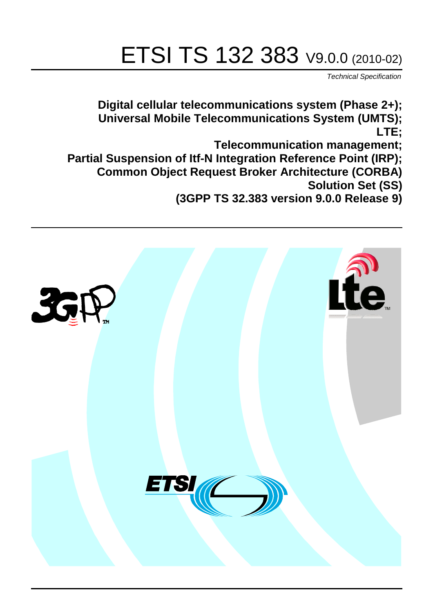# ETSI TS 132 383 V9.0.0 (2010-02)

*Technical Specification*

**Digital cellular telecommunications system (Phase 2+); Universal Mobile Telecommunications System (UMTS); LTE; Telecommunication management; Partial Suspension of Itf-N Integration Reference Point (IRP); Common Object Request Broker Architecture (CORBA) Solution Set (SS) (3GPP TS 32.383 version 9.0.0 Release 9)**

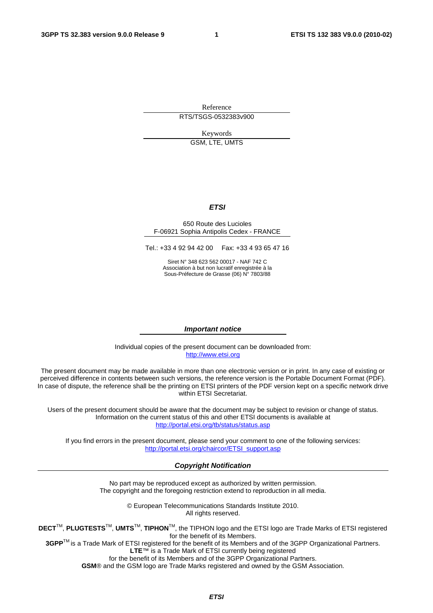Reference RTS/TSGS-0532383v900

> Keywords GSM, LTE, UMTS

#### *ETSI*

#### 650 Route des Lucioles F-06921 Sophia Antipolis Cedex - FRANCE

Tel.: +33 4 92 94 42 00 Fax: +33 4 93 65 47 16

Siret N° 348 623 562 00017 - NAF 742 C Association à but non lucratif enregistrée à la Sous-Préfecture de Grasse (06) N° 7803/88

#### *Important notice*

Individual copies of the present document can be downloaded from: [http://www.etsi.org](http://www.etsi.org/)

The present document may be made available in more than one electronic version or in print. In any case of existing or perceived difference in contents between such versions, the reference version is the Portable Document Format (PDF). In case of dispute, the reference shall be the printing on ETSI printers of the PDF version kept on a specific network drive within ETSI Secretariat.

Users of the present document should be aware that the document may be subject to revision or change of status. Information on the current status of this and other ETSI documents is available at <http://portal.etsi.org/tb/status/status.asp>

If you find errors in the present document, please send your comment to one of the following services: [http://portal.etsi.org/chaircor/ETSI\\_support.asp](http://portal.etsi.org/chaircor/ETSI_support.asp)

#### *Copyright Notification*

No part may be reproduced except as authorized by written permission. The copyright and the foregoing restriction extend to reproduction in all media.

> © European Telecommunications Standards Institute 2010. All rights reserved.

**DECT**TM, **PLUGTESTS**TM, **UMTS**TM, **TIPHON**TM, the TIPHON logo and the ETSI logo are Trade Marks of ETSI registered for the benefit of its Members.

**3GPP**TM is a Trade Mark of ETSI registered for the benefit of its Members and of the 3GPP Organizational Partners. **LTE**™ is a Trade Mark of ETSI currently being registered

for the benefit of its Members and of the 3GPP Organizational Partners.

**GSM**® and the GSM logo are Trade Marks registered and owned by the GSM Association.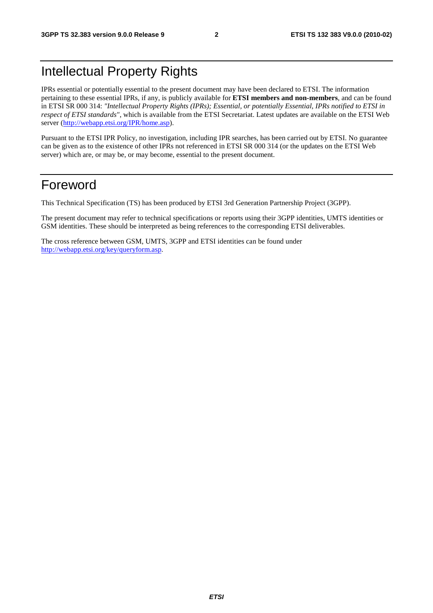# Intellectual Property Rights

IPRs essential or potentially essential to the present document may have been declared to ETSI. The information pertaining to these essential IPRs, if any, is publicly available for **ETSI members and non-members**, and can be found in ETSI SR 000 314: *"Intellectual Property Rights (IPRs); Essential, or potentially Essential, IPRs notified to ETSI in respect of ETSI standards"*, which is available from the ETSI Secretariat. Latest updates are available on the ETSI Web server [\(http://webapp.etsi.org/IPR/home.asp](http://webapp.etsi.org/IPR/home.asp)).

Pursuant to the ETSI IPR Policy, no investigation, including IPR searches, has been carried out by ETSI. No guarantee can be given as to the existence of other IPRs not referenced in ETSI SR 000 314 (or the updates on the ETSI Web server) which are, or may be, or may become, essential to the present document.

### Foreword

This Technical Specification (TS) has been produced by ETSI 3rd Generation Partnership Project (3GPP).

The present document may refer to technical specifications or reports using their 3GPP identities, UMTS identities or GSM identities. These should be interpreted as being references to the corresponding ETSI deliverables.

The cross reference between GSM, UMTS, 3GPP and ETSI identities can be found under [http://webapp.etsi.org/key/queryform.asp.](http://webapp.etsi.org/key/queryform.asp)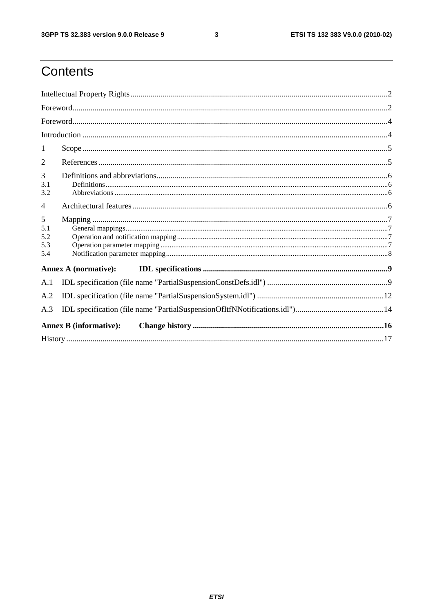$\mathbf{3}$ 

# Contents

| 1                             |  |
|-------------------------------|--|
| 2                             |  |
| 3<br>3.1<br>3.2               |  |
| $\overline{4}$                |  |
| 5<br>5.1<br>5.2<br>5.3<br>5.4 |  |
| Annex A (normative):          |  |
| A.1                           |  |
| A.2                           |  |
| A.3                           |  |
| <b>Annex B</b> (informative): |  |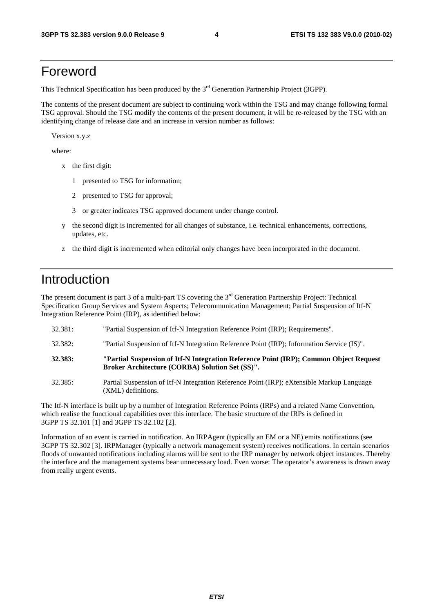### Foreword

This Technical Specification has been produced by the 3<sup>rd</sup> Generation Partnership Project (3GPP).

The contents of the present document are subject to continuing work within the TSG and may change following formal TSG approval. Should the TSG modify the contents of the present document, it will be re-released by the TSG with an identifying change of release date and an increase in version number as follows:

Version x.y.z

where:

- x the first digit:
	- 1 presented to TSG for information;
	- 2 presented to TSG for approval;
	- 3 or greater indicates TSG approved document under change control.
- y the second digit is incremented for all changes of substance, i.e. technical enhancements, corrections, updates, etc.
- z the third digit is incremented when editorial only changes have been incorporated in the document.

### Introduction

The present document is part 3 of a multi-part TS covering the 3<sup>rd</sup> Generation Partnership Project: Technical Specification Group Services and System Aspects; Telecommunication Management; Partial Suspension of Itf-N Integration Reference Point (IRP), as identified below:

- 32.381: "Partial Suspension of Itf-N Integration Reference Point (IRP); Requirements".
- 32.382: "Partial Suspension of Itf-N Integration Reference Point (IRP); Information Service (IS)".
- **32.383: "Partial Suspension of Itf-N Integration Reference Point (IRP); Common Object Request Broker Architecture (CORBA) Solution Set (SS)".**
- 32.385: Partial Suspension of Itf-N Integration Reference Point (IRP); eXtensible Markup Language (XML) definitions.

The Itf-N interface is built up by a number of Integration Reference Points (IRPs) and a related Name Convention, which realise the functional capabilities over this interface. The basic structure of the IRPs is defined in 3GPP TS 32.101 [1] and 3GPP TS 32.102 [2].

Information of an event is carried in notification. An IRPAgent (typically an EM or a NE) emits notifications (see 3GPP TS 32.302 [3]. IRPManager (typically a network management system) receives notifications. In certain scenarios floods of unwanted notifications including alarms will be sent to the IRP manager by network object instances. Thereby the interface and the management systems bear unnecessary load. Even worse: The operator's awareness is drawn away from really urgent events.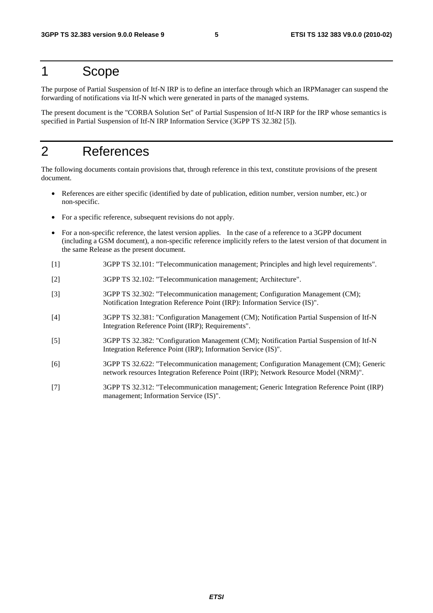### 1 Scope

The purpose of Partial Suspension of Itf-N IRP is to define an interface through which an IRPManager can suspend the forwarding of notifications via Itf-N which were generated in parts of the managed systems.

The present document is the "CORBA Solution Set" of Partial Suspension of Itf-N IRP for the IRP whose semantics is specified in Partial Suspension of Itf-N IRP Information Service (3GPP TS 32.382 [5]).

# 2 References

The following documents contain provisions that, through reference in this text, constitute provisions of the present document.

- References are either specific (identified by date of publication, edition number, version number, etc.) or non-specific.
- For a specific reference, subsequent revisions do not apply.
- For a non-specific reference, the latest version applies. In the case of a reference to a 3GPP document (including a GSM document), a non-specific reference implicitly refers to the latest version of that document in the same Release as the present document.
- [1] 3GPP TS 32.101: "Telecommunication management; Principles and high level requirements".
- [2] 3GPP TS 32.102: "Telecommunication management; Architecture".
- [3] 3GPP TS 32.302: "Telecommunication management; Configuration Management (CM); Notification Integration Reference Point (IRP): Information Service (IS)".
- [4] 3GPP TS 32.381: "Configuration Management (CM); Notification Partial Suspension of Itf-N Integration Reference Point (IRP); Requirements".
- [5] 3GPP TS 32.382: "Configuration Management (CM); Notification Partial Suspension of Itf-N Integration Reference Point (IRP); Information Service (IS)".
- [6] 3GPP TS 32.622: "Telecommunication management; Configuration Management (CM); Generic network resources Integration Reference Point (IRP); Network Resource Model (NRM)".
- [7] 3GPP TS 32.312: "Telecommunication management; Generic Integration Reference Point (IRP) management; Information Service (IS)".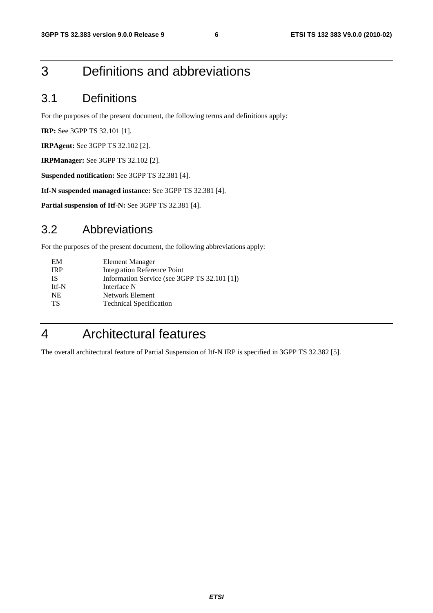# 3 Definitions and abbreviations

### 3.1 Definitions

For the purposes of the present document, the following terms and definitions apply:

**IRP:** See 3GPP TS 32.101 [1].

**IRPAgent:** See 3GPP TS 32.102 [2].

**IRPManager:** See 3GPP TS 32.102 [2].

**Suspended notification:** See 3GPP TS 32.381 [4].

**Itf-N suspended managed instance:** See 3GPP TS 32.381 [4].

**Partial suspension of Itf-N:** See 3GPP TS 32.381 [4].

### 3.2 Abbreviations

For the purposes of the present document, the following abbreviations apply:

| <b>Element Manager</b>                       |
|----------------------------------------------|
| Integration Reference Point                  |
| Information Service (see 3GPP TS 32.101 [1]) |
| Interface N                                  |
| Network Element                              |
| <b>Technical Specification</b>               |
|                                              |

# 4 Architectural features

The overall architectural feature of Partial Suspension of Itf-N IRP is specified in 3GPP TS 32.382 [5].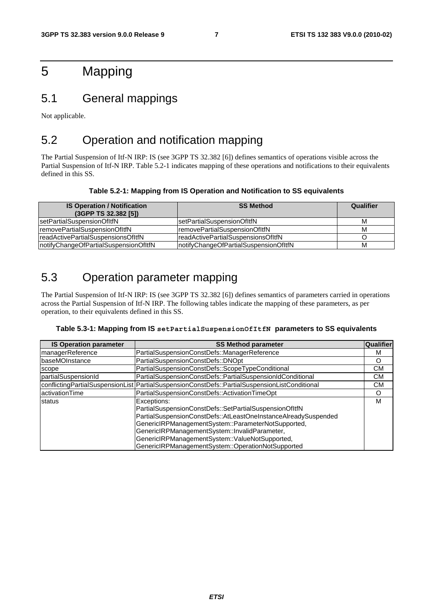# 5 Mapping

### 5.1 General mappings

Not applicable.

### 5.2 Operation and notification mapping

The Partial Suspension of Itf-N IRP: IS (see 3GPP TS 32.382 [6]) defines semantics of operations visible across the Partial Suspension of Itf-N IRP. Table 5.2-1 indicates mapping of these operations and notifications to their equivalents defined in this SS.

#### **Table 5.2-1: Mapping from IS Operation and Notification to SS equivalents**

| <b>IS Operation / Notification</b><br>(3GPP TS 32.382 [5]) | <b>SS Method</b>                       | Qualifier |
|------------------------------------------------------------|----------------------------------------|-----------|
| setPartialSuspensionOfItfN                                 | IsetPartialSuspensionOfItfN            | M         |
| removePartialSuspensionOfItfN                              | IremovePartialSuspensionOfItfN         | M         |
| readActivePartialSuspensionsOfItfN                         | IreadActivePartialSuspensionsOfItfN    |           |
| notifyChangeOfPartialSuspensionOfItfN                      | InotifyChangeOfPartialSuspensionOfItfN | M         |

### 5.3 Operation parameter mapping

The Partial Suspension of Itf-N IRP: IS (see 3GPP TS 32.382 [6]) defines semantics of parameters carried in operations across the Partial Suspension of Itf-N IRP. The following tables indicate the mapping of these parameters, as per operation, to their equivalents defined in this SS.

#### **Table 5.3-1: Mapping from IS setPartialSuspensionOfItfN parameters to SS equivalents**

| <b>IS Operation parameter</b> | <b>SS Method parameter</b>                                                                                                                                                                                                                                                                                                                            | Qualifier |
|-------------------------------|-------------------------------------------------------------------------------------------------------------------------------------------------------------------------------------------------------------------------------------------------------------------------------------------------------------------------------------------------------|-----------|
| managerReference              | PartialSuspensionConstDefs::ManagerReference                                                                                                                                                                                                                                                                                                          | М         |
| <b>baseMOInstance</b>         | PartialSuspensionConstDefs::DNOpt                                                                                                                                                                                                                                                                                                                     | O         |
| scope                         | PartialSuspensionConstDefs::ScopeTypeConditional                                                                                                                                                                                                                                                                                                      | CМ        |
| partialSuspensionId           | PartialSuspensionConstDefs::PartialSuspensionIdConditional                                                                                                                                                                                                                                                                                            | CМ        |
|                               | conflictingPartialSuspensionList   PartialSuspensionConstDefs::PartialSuspensionListConditional                                                                                                                                                                                                                                                       | CМ        |
| activationTime                | PartialSuspensionConstDefs::ActivationTimeOpt                                                                                                                                                                                                                                                                                                         | O         |
| status                        | Exceptions:<br>PartialSuspensionConstDefs::SetPartialSuspensionOfItfN<br>PartialSuspensionConstDefs::AtLeastOneInstanceAlreadySuspended<br>GenericIRPManagementSystem::ParameterNotSupported,<br>GenericIRPManagementSystem::InvalidParameter,<br>GenericIRPManagementSystem::ValueNotSupported,<br>GenericIRPManagementSystem::OperationNotSupported | M         |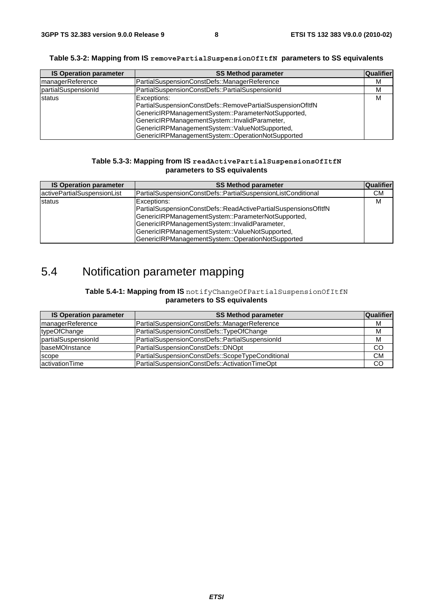|  | Table 5.3-2: Mapping from IS removePartialSuspensionOfItfN parameters to SS equivalents |  |
|--|-----------------------------------------------------------------------------------------|--|
|--|-----------------------------------------------------------------------------------------|--|

| <b>IS Operation parameter</b> | <b>SS Method parameter</b>                                                                                                                                                                                                                                                             | Qualifier |
|-------------------------------|----------------------------------------------------------------------------------------------------------------------------------------------------------------------------------------------------------------------------------------------------------------------------------------|-----------|
| managerReference              | PartialSuspensionConstDefs::ManagerReference                                                                                                                                                                                                                                           | м         |
| partialSuspensionId           | PartialSuspensionConstDefs::PartialSuspensionId                                                                                                                                                                                                                                        | M         |
| status                        | Exceptions:<br>PartialSuspensionConstDefs::RemovePartialSuspensionOfItfN<br>GenericIRPManagementSystem::ParameterNotSupported,<br>GenericIRPManagementSystem::InvalidParameter,<br>GenericIRPManagementSystem::ValueNotSupported,<br>GenericIRPManagementSystem::OperationNotSupported | M         |

#### **Table 5.3-3: Mapping from IS readActivePartialSuspensionsOfItfN parameters to SS equivalents**

| <b>IS Operation parameter</b> | <b>SS Method parameter</b>                                                                                                                                                                                                                                                                  | Qualifier |
|-------------------------------|---------------------------------------------------------------------------------------------------------------------------------------------------------------------------------------------------------------------------------------------------------------------------------------------|-----------|
| activePartialSuspensionList   | PartialSuspensionConstDefs::PartialSuspensionListConditional                                                                                                                                                                                                                                | СM        |
| <b>status</b>                 | Exceptions:<br>PartialSuspensionConstDefs::ReadActivePartialSuspensionsOfItfN<br>GenericIRPManagementSystem::ParameterNotSupported,<br>GenericIRPManagementSystem::InvalidParameter,<br>GenericIRPManagementSystem::ValueNotSupported,<br>GenericIRPManagementSystem::OperationNotSupported | м         |

# 5.4 Notification parameter mapping

#### **Table 5.4-1: Mapping from IS** notifyChangeOfPartialSuspensionOfItfN **parameters to SS equivalents**

| <b>IS Operation parameter</b> | <b>SS Method parameter</b>                       | <b>Qualifier</b> |
|-------------------------------|--------------------------------------------------|------------------|
| managerReference              | PartialSuspensionConstDefs::ManagerReference     | м                |
| typeOfChange                  | PartialSuspensionConstDefs::TypeOfChange         | M                |
| partialSuspensionId           | PartialSuspensionConstDefs::PartialSuspensionId  | M                |
| <b>baseMOInstance</b>         | PartialSuspensionConstDefs::DNOpt                | CO               |
| scope                         | PartialSuspensionConstDefs::ScopeTypeConditional | <b>CM</b>        |
| activationTime                | PartialSuspensionConstDefs::ActivationTimeOpt    | CO               |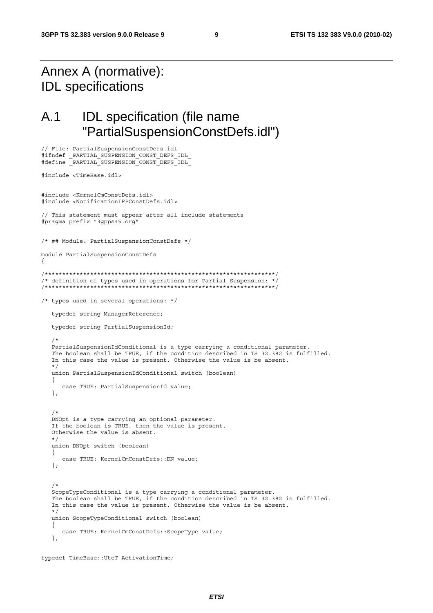# Annex A (normative): IDL specifications

// File: PartialSuspensionConstDefs.idl

## A.1 IDL specification (file name "PartialSuspensionConstDefs.idl")

```
#ifndef _PARTIAL_SUSPENSION_CONST_DEFS_IDL_ 
#define _PARTIAL_SUSPENSION_CONST_DEFS_IDL_ 
#include <TimeBase.idl> 
#include <KernelCmConstDefs.idl> 
#include <NotificationIRPConstDefs.idl> 
// This statement must appear after all include statements 
#pragma prefix "3gppsa5.org" 
/* ## Module: PartialSuspensionConstDefs */ 
module PartialSuspensionConstDefs 
{ 
/******************************************************************/ 
/* definition of types used in operations for Partial Suspension: */ 
/******************************************************************/ 
/* types used in several operations: */ 
    typedef string ManagerReference; 
    typedef string PartialSuspensionId; 
/*
    PartialSuspensionIdConditional is a type carrying a conditional parameter. 
    The boolean shall be TRUE, if the condition described in TS 32.382 is fulfilled. 
    In this case the value is present. Otherwise the value is be absent. 
    */ 
   union PartialSuspensionIdConditional switch (boolean) 
    { 
       case TRUE: PartialSuspensionId value; 
    }; 
/*
   DNOpt is a type carrying an optional parameter. 
    If the boolean is TRUE, then the value is present. 
    Otherwise the value is absent. 
    */ 
   union DNOpt switch (boolean) 
    { 
       case TRUE: KernelCmConstDefs::DN value; 
    }; 
/*
    ScopeTypeConditional is a type carrying a conditional parameter. 
    The boolean shall be TRUE, if the condition described in TS 32.382 is fulfilled. 
    In this case the value is present. Otherwise the value is be absent. 
    */ 
   union ScopeTypeConditional switch (boolean) 
    { 
       case TRUE: KernelCmConstDefs::ScopeType value; 
    };
```

```
typedef TimeBase::UtcT ActivationTime;
```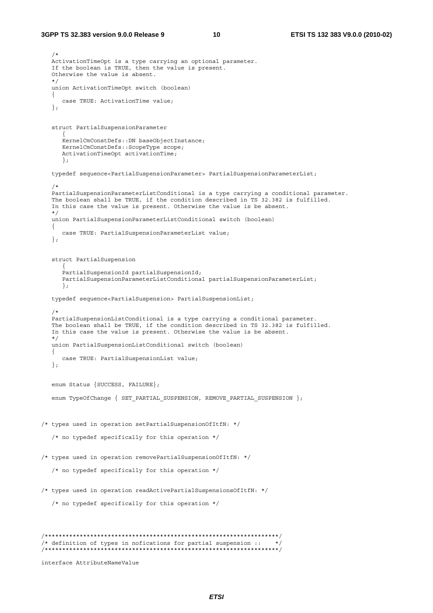```
 /* 
    ActivationTimeOpt is a type carrying an optional parameter. 
    If the boolean is TRUE, then the value is present. 
    Otherwise the value is absent. 
    */ 
    union ActivationTimeOpt switch (boolean) 
    { 
      case TRUE: ActivationTime value; 
    }; 
    struct PartialSuspensionParameter 
\left\{ \begin{array}{ccc} 1 & 1 \\ 1 & 1 \end{array} \right\} KernelCmConstDefs::DN baseObjectInstance; 
       KernelCmConstDefs::ScopeType scope; 
       ActivationTimeOpt activationTime; 
       }; 
    typedef sequence<PartialSuspensionParameter> PartialSuspensionParameterList; 
    /* 
    PartialSuspensionParameterListConditional is a type carrying a conditional parameter. 
    The boolean shall be TRUE, if the condition described in TS 32.382 is fulfilled. 
    In this case the value is present. Otherwise the value is be absent. 
    */ 
   union PartialSuspensionParameterListConditional switch (boolean) 
    { 
      case TRUE: PartialSuspensionParameterList value; 
    }; 
    struct PartialSuspension 
      \left\{ \right. PartialSuspensionId partialSuspensionId; 
       PartialSuspensionParameterListConditional partialSuspensionParameterList; 
       }; 
    typedef sequence<PartialSuspension> PartialSuspensionList; 
    /* 
    PartialSuspensionListConditional is a type carrying a conditional parameter. 
    The boolean shall be TRUE, if the condition described in TS 32.382 is fulfilled. 
    In this case the value is present. Otherwise the value is be absent. 
    */ 
   union PartialSuspensionListConditional switch (boolean) 
    { 
       case TRUE: PartialSuspensionList value; 
    }; 
    enum Status {SUCCESS, FAILURE}; 
   enum TypeOfChange { SET PARTIAL SUSPENSION, REMOVE PARTIAL SUSPENSION };
/* types used in operation setPartialSuspensionOfItfN: */ 
    /* no typedef specifically for this operation */ 
/* types used in operation removePartialSuspensionOfItfN: */ 
    /* no typedef specifically for this operation */ 
/* types used in operation readActivePartialSuspensionsOfItfN: */ 
    /* no typedef specifically for this operation */ 
/*******************************************************************/ 
/* definition of types in nofications for partial suspension :: */ 
/*******************************************************************/ 
interface AttributeNameValue
```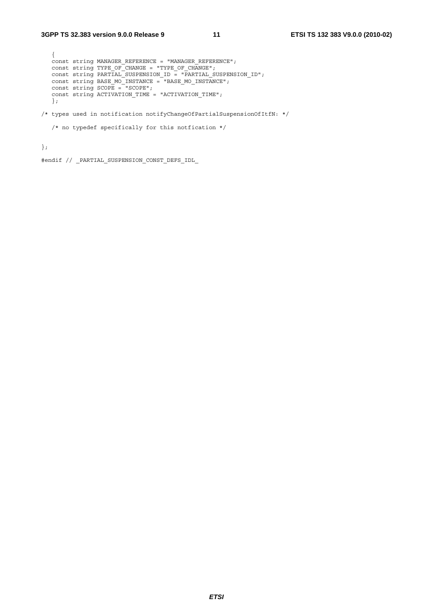```
 { 
   const string MANAGER_REFERENCE = "MANAGER_REFERENCE"; 
const string TYPE OF CHANGE = "TYPE OF CHANGE";
 const string PARTIAL_SUSPENSION_ID = "PARTIAL_SUSPENSION_ID"; 
 const string BASE_MO_INSTANCE = "BASE_MO_INSTANCE"; 
 const string SCOPE = "SCOPE"; 
  const string ACTIVATION TIME = "ACTIVATION TIME";
   }; 
/* types used in notification notifyChangeOfPartialSuspensionOfItfN: */
```

```
\prime\star no typedef specifically for this notfication \star/
```
};

#endif // \_PARTIAL\_SUSPENSION\_CONST\_DEFS\_IDL\_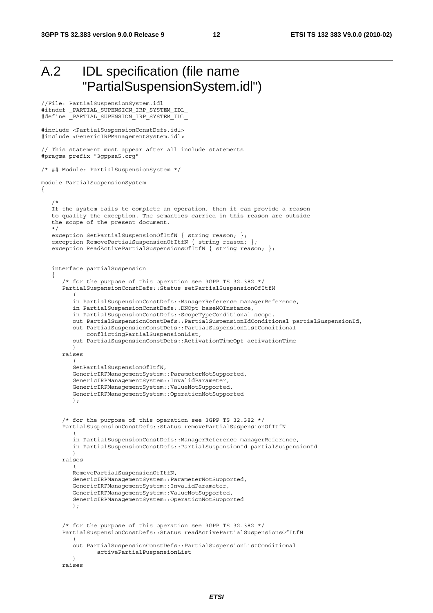```
A.2 IDL specification (file name 
       "PartialSuspensionSystem.idl")
```

```
//File: PartialSuspensionSystem.idl 
#ifndef _PARTIAL_SUPENSION_IRP_SYSTEM_IDL_ 
#define _PARTIAL_SUPENSION_IRP_SYSTEM_IDL_ 
#include <PartialSuspensionConstDefs.idl> 
#include <GenericIRPManagementSystem.idl> 
// This statement must appear after all include statements 
#pragma prefix "3gppsa5.org" 
/* ## Module: PartialSuspensionSystem */ 
module PartialSuspensionSystem 
{ 
    /* 
    If the system fails to complete an operation, then it can provide a reason 
    to qualify the exception. The semantics carried in this reason are outside 
    the scope of the present document. 
    */ 
   exception SetPartialSuspensionOfItfN { string reason; };
   exception RemovePartialSuspensionOfItfN { string reason; };
   exception ReadActivePartialSuspensionsOfItfN { string reason; };
    interface partialSuspension 
\{ /* for the purpose of this operation see 3GPP TS 32.382 */ 
       PartialSuspensionConstDefs::Status setPartialSuspensionOfItfN 
\overline{a} in PartialSuspensionConstDefs::ManagerReference managerReference, 
          in PartialSuspensionConstDefs::DNOpt baseMOInstance, 
          in PartialSuspensionConstDefs::ScopeTypeConditional scope, 
          out PartialSuspensionConstDefs::PartialSuspensionIdConditional partialSuspensionId, 
          out PartialSuspensionConstDefs::PartialSuspensionListConditional 
              conflictingPartialSuspensionList, 
          out PartialSuspensionConstDefs::ActivationTimeOpt activationTime 
          ) 
       raises 
\overline{a} SetPartialSuspensionOfItfN, 
          GenericIRPManagementSystem::ParameterNotSupported, 
          GenericIRPManagementSystem::InvalidParameter, 
          GenericIRPManagementSystem::ValueNotSupported, 
          GenericIRPManagementSystem::OperationNotSupported 
          ); 
       /* for the purpose of this operation see 3GPP TS 32.382 */ 
       PartialSuspensionConstDefs::Status removePartialSuspensionOfItfN 
\overline{a} in PartialSuspensionConstDefs::ManagerReference managerReference, 
          in PartialSuspensionConstDefs::PartialSuspensionId partialSuspensionId 
 ) 
       raises 
\overline{a} RemovePartialSuspensionOfItfN, 
          GenericIRPManagementSystem::ParameterNotSupported, 
          GenericIRPManagementSystem::InvalidParameter, 
          GenericIRPManagementSystem::ValueNotSupported, 
          GenericIRPManagementSystem::OperationNotSupported 
          ); 
       /* for the purpose of this operation see 3GPP TS 32.382 */ 
       PartialSuspensionConstDefs::Status readActivePartialSuspensionsOfItfN 
\overline{a} out PartialSuspensionConstDefs::PartialSuspensionListConditional 
                 activePartialPuspensionList 
 ) 
       raises
```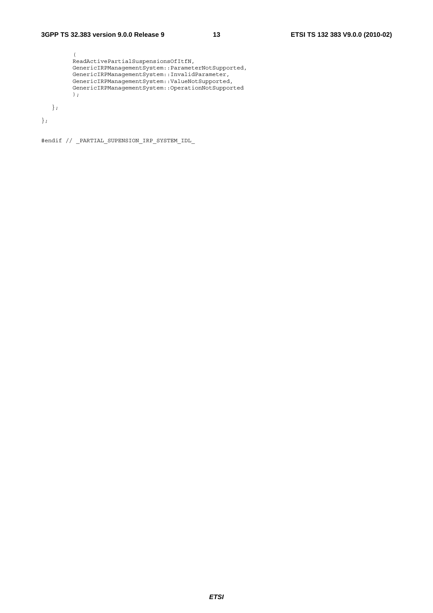```
 ( 
         ReadActivePartialSuspensionsOfItfN, 
 GenericIRPManagementSystem::ParameterNotSupported, 
 GenericIRPManagementSystem::InvalidParameter, 
 GenericIRPManagementSystem::ValueNotSupported, 
         GenericIRPManagementSystem::OperationNotSupported 
         ); 
   };
```
};

#endif // \_PARTIAL\_SUPENSION\_IRP\_SYSTEM\_IDL\_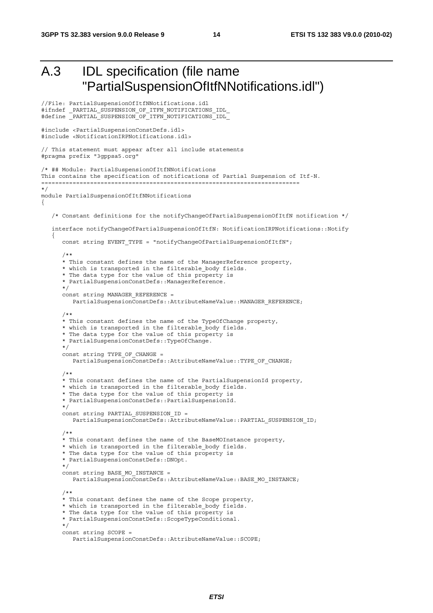```
A.3 IDL specification (file name 
            "PartialSuspensionOfItfNNotifications.idl") 
//File: PartialSuspensionOfItfNNotifications.idl 
#ifndef _PARTIAL_SUSPENSION_OF_ITFN_NOTIFICATIONS_IDL_ 
#define _PARTIAL_SUSPENSION_OF_ITFN_NOTIFICATIONS_IDL_ 
#include <PartialSuspensionConstDefs.idl> 
#include <NotificationIRPNotifications.idl> 
// This statement must appear after all include statements 
#pragma prefix "3gppsa5.org" 
/* ## Module: PartialSuspensionOfItfNNotifications 
This contains the specification of notifications of Partial Suspension of Itf-N. 
========================================================================== 
*/ 
module PartialSuspensionOfItfNNotifications 
{ 
    /* Constant definitions for the notifyChangeOfPartialSuspensionOfItfN notification */ 
    interface notifyChangeOfPartialSuspensionOfItfN: NotificationIRPNotifications::Notify 
\{const string EVENT TYPE = "notifyChangeOfPartialSuspensionOfItfN";
 /** 
       * This constant defines the name of the ManagerReference property, 
      * which is transported in the filterable body fields.
      * The data type for the value of this property is
       * PartialSuspensionConstDefs::ManagerReference. 
       */ 
      const string MANAGER REFERENCE =
          PartialSuspensionConstDefs::AttributeNameValue::MANAGER_REFERENCE; 
       /** 
       * This constant defines the name of the TypeOfChange property, 
       * which is transported in the filterable_body fields. 
       * The data type for the value of this property is 
       * PartialSuspensionConstDefs::TypeOfChange. 
       */ 
      const string TYPE OF CHANGE =
          PartialSuspensionConstDefs::AttributeNameValue::TYPE_OF_CHANGE; 
       /** 
       * This constant defines the name of the PartialSuspensionId property, 
      * which is transported in the filterable body fields.
       * The data type for the value of this property is 
       * PartialSuspensionConstDefs::PartialSuspensionId. 
       */ 
      const string PARTIAL SUSPENSION ID =
         PartialSuspensionConstDefs::AttributeNameValue::PARTIAL_SUSPENSION_ID;
 /** 
       * This constant defines the name of the BaseMOInstance property, 
       * which is transported in the filterable_body fields. 
       * The data type for the value of this property is 
       * PartialSuspensionConstDefs::DNOpt. 
       */ 
       const string BASE_MO_INSTANCE = 
          PartialSuspensionConstDefs::AttributeNameValue::BASE_MO_INSTANCE; 
       /** 
       * This constant defines the name of the Scope property, 
       * which is transported in the filterable_body fields. 
       * The data type for the value of this property is 
       * PartialSuspensionConstDefs::ScopeTypeConditional. 
       */ 
       const string SCOPE = 
          PartialSuspensionConstDefs::AttributeNameValue::SCOPE;
```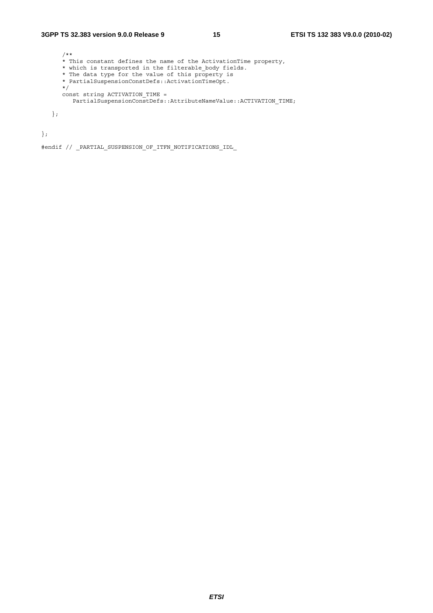#### **3GPP TS 32.383 version 9.0.0 Release 9 15 ETSI TS 132 383 V9.0.0 (2010-02)**

```
 /** 
 * This constant defines the name of the ActivationTime property, 
 * which is transported in the filterable_body fields. 
 * The data type for the value of this property is 
 * PartialSuspensionConstDefs::ActivationTimeOpt. 
      */ 
 const string ACTIVATION_TIME = 
 PartialSuspensionConstDefs::AttributeNameValue::ACTIVATION_TIME; 
   };
```
};

#endif // \_PARTIAL\_SUSPENSION\_OF\_ITFN\_NOTIFICATIONS\_IDL\_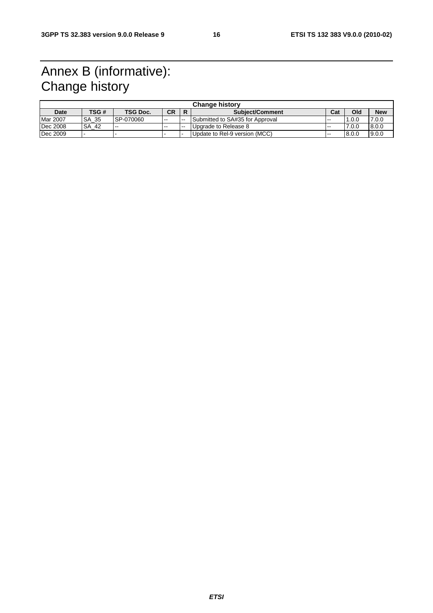# Annex B (informative): Change history

| <b>Change history</b> |                  |                          |           |                          |                                 |       |       |            |
|-----------------------|------------------|--------------------------|-----------|--------------------------|---------------------------------|-------|-------|------------|
| Date                  | TSG #            | <b>TSG Doc.</b>          | <b>CR</b> | R                        | <b>Subiect/Comment</b>          | Cat   | Old   | <b>New</b> |
| <b>Mar 2007</b>       | -35<br><b>SA</b> | SP-070060                | $- -$     | $- -$                    | Submitted to SA#35 for Approval | $-$   | 1.0.0 | 7.0.0      |
| Dec 2008              | <b>SA</b><br>-42 | $\overline{\phantom{m}}$ | $- -$     | $\overline{\phantom{a}}$ | Upgrade to Release 8            | $- -$ | 7.0.0 | 8.0.0      |
| Dec 2009              |                  |                          |           |                          | Update to Rel-9 version (MCC)   | $- -$ | 8.0.0 | 9.0.0      |